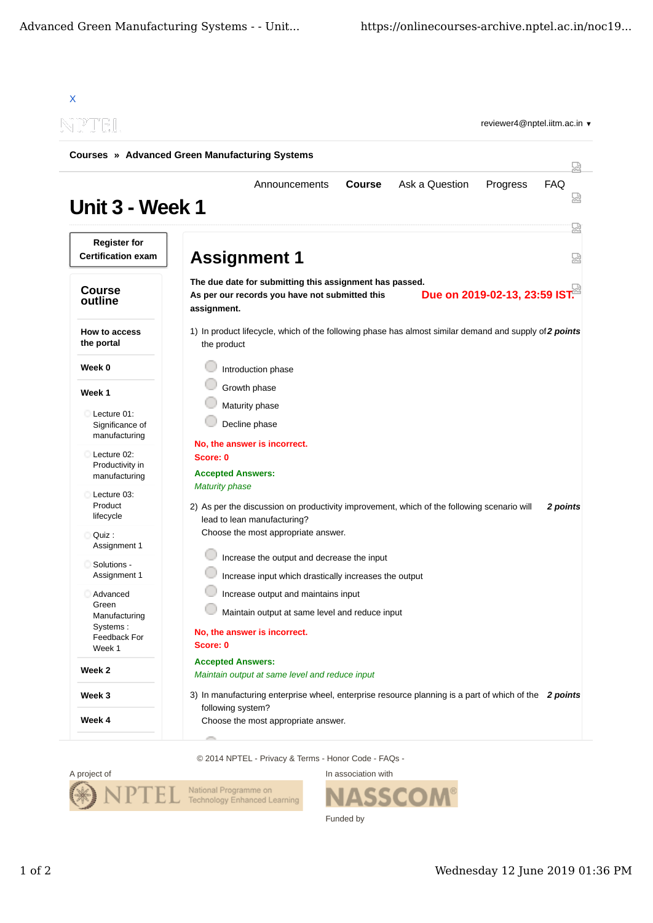| NPTEL                                               |                                                                                                                                                                |
|-----------------------------------------------------|----------------------------------------------------------------------------------------------------------------------------------------------------------------|
|                                                     | <b>Courses » Advanced Green Manufacturing Systems</b>                                                                                                          |
| Unit 3 - Week 1                                     | Ask a Question<br>FAQ<br><b>Course</b><br>Progress<br>Announcements                                                                                            |
| <b>Register for</b><br><b>Certification exam</b>    | 눮<br><b>Assignment 1</b>                                                                                                                                       |
| <b>Course</b><br>outline                            | The due date for submitting this assignment has passed.<br>Due on 2019-02-13, 23:59 IST.<br>As per our records you have not submitted this<br>assignment.      |
| How to access<br>the portal                         | 1) In product lifecycle, which of the following phase has almost similar demand and supply of 2 points<br>the product                                          |
| Week 0                                              | Introduction phase                                                                                                                                             |
| Week 1                                              | Growth phase                                                                                                                                                   |
| Lecture 01:<br>Significance of<br>manufacturing     | Maturity phase<br>Decline phase                                                                                                                                |
| Lecture 02:<br>Productivity in<br>manufacturing     | No, the answer is incorrect.<br>Score: 0<br><b>Accepted Answers:</b>                                                                                           |
| Lecture 03:<br>Product<br>lifecycle                 | <b>Maturity phase</b><br>2) As per the discussion on productivity improvement, which of the following scenario will<br>2 points<br>lead to lean manufacturing? |
| Quiz :<br>Assignment 1                              | Choose the most appropriate answer.                                                                                                                            |
| Solutions -<br>Assignment 1                         | Increase the output and decrease the input<br>Increase input which drastically increases the output                                                            |
| Advanced<br>Green                                   | Increase output and maintains input<br>Maintain output at same level and reduce input                                                                          |
| Manufacturing<br>Systems:<br>Feedback For<br>Week 1 | No, the answer is incorrect.<br>Score: 0                                                                                                                       |
| Week 2                                              | <b>Accepted Answers:</b><br>Maintain output at same level and reduce input                                                                                     |
| Week 3                                              | 3) In manufacturing enterprise wheel, enterprise resource planning is a part of which of the 2 points                                                          |
|                                                     | following system?                                                                                                                                              |

© 2014 NPTEL - Privacy & Terms - Honor Code - FAQs -